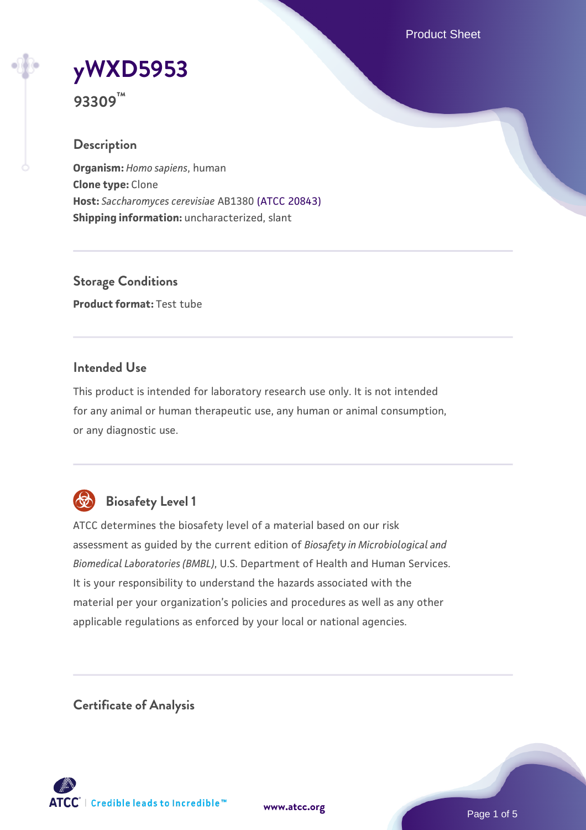Product Sheet

# **[yWXD5953](https://www.atcc.org/products/93309)**

**93309™**

# **Description**

**Organism:** *Homo sapiens*, human **Clone type:** Clone **Host:** *Saccharomyces cerevisiae* AB1380 [\(ATCC 20843\)](https://www.atcc.org/products/20843) **Shipping information:** uncharacterized, slant

**Storage Conditions Product format:** Test tube

## **Intended Use**

This product is intended for laboratory research use only. It is not intended for any animal or human therapeutic use, any human or animal consumption, or any diagnostic use.



# **Biosafety Level 1**

ATCC determines the biosafety level of a material based on our risk assessment as guided by the current edition of *Biosafety in Microbiological and Biomedical Laboratories (BMBL)*, U.S. Department of Health and Human Services. It is your responsibility to understand the hazards associated with the material per your organization's policies and procedures as well as any other applicable regulations as enforced by your local or national agencies.

**Certificate of Analysis**

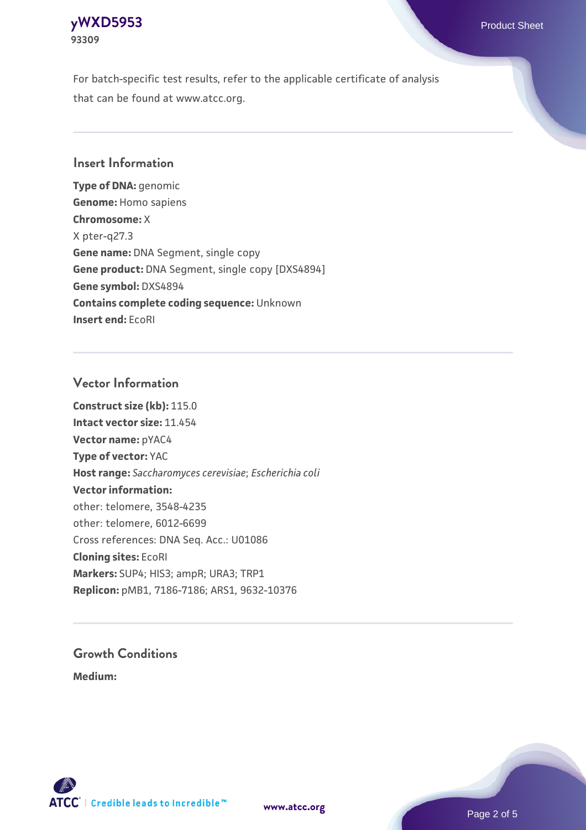#### **[yWXD5953](https://www.atcc.org/products/93309)** Product Sheet **93309**

For batch-specific test results, refer to the applicable certificate of analysis that can be found at www.atcc.org.

## **Insert Information**

**Type of DNA:** genomic **Genome:** Homo sapiens **Chromosome:** X X pter-q27.3 **Gene name:** DNA Segment, single copy **Gene product:** DNA Segment, single copy [DXS4894] **Gene symbol:** DXS4894 **Contains complete coding sequence:** Unknown **Insert end:** EcoRI

#### **Vector Information**

**Construct size (kb):** 115.0 **Intact vector size:** 11.454 **Vector name:** pYAC4 **Type of vector:** YAC **Host range:** *Saccharomyces cerevisiae*; *Escherichia coli* **Vector information:** other: telomere, 3548-4235 other: telomere, 6012-6699 Cross references: DNA Seq. Acc.: U01086 **Cloning sites:** EcoRI **Markers:** SUP4; HIS3; ampR; URA3; TRP1 **Replicon:** pMB1, 7186-7186; ARS1, 9632-10376

# **Growth Conditions**

**Medium:** 



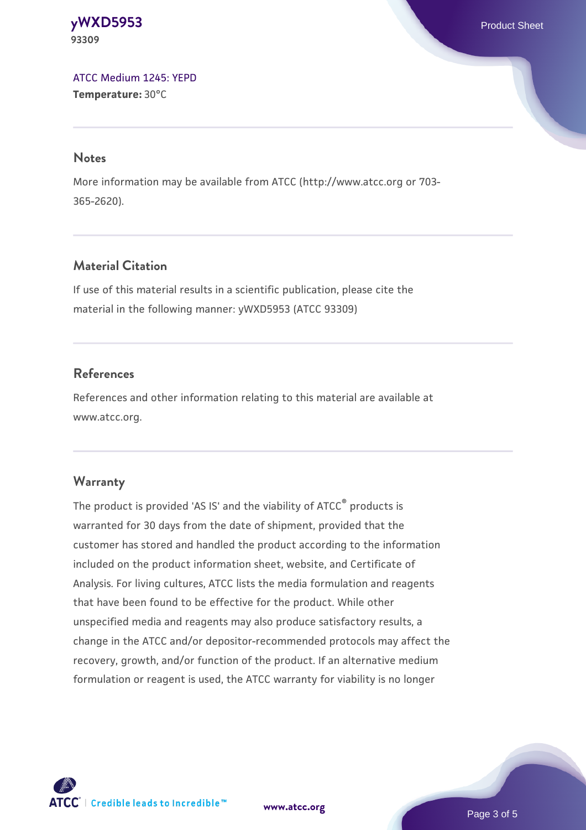#### **[yWXD5953](https://www.atcc.org/products/93309)** Product Sheet **93309**

[ATCC Medium 1245: YEPD](https://www.atcc.org/-/media/product-assets/documents/microbial-media-formulations/1/2/4/5/atcc-medium-1245.pdf?rev=705ca55d1b6f490a808a965d5c072196) **Temperature:** 30°C

#### **Notes**

More information may be available from ATCC (http://www.atcc.org or 703- 365-2620).

# **Material Citation**

If use of this material results in a scientific publication, please cite the material in the following manner: yWXD5953 (ATCC 93309)

# **References**

References and other information relating to this material are available at www.atcc.org.

# **Warranty**

The product is provided 'AS IS' and the viability of ATCC® products is warranted for 30 days from the date of shipment, provided that the customer has stored and handled the product according to the information included on the product information sheet, website, and Certificate of Analysis. For living cultures, ATCC lists the media formulation and reagents that have been found to be effective for the product. While other unspecified media and reagents may also produce satisfactory results, a change in the ATCC and/or depositor-recommended protocols may affect the recovery, growth, and/or function of the product. If an alternative medium formulation or reagent is used, the ATCC warranty for viability is no longer



**[www.atcc.org](http://www.atcc.org)**

Page 3 of 5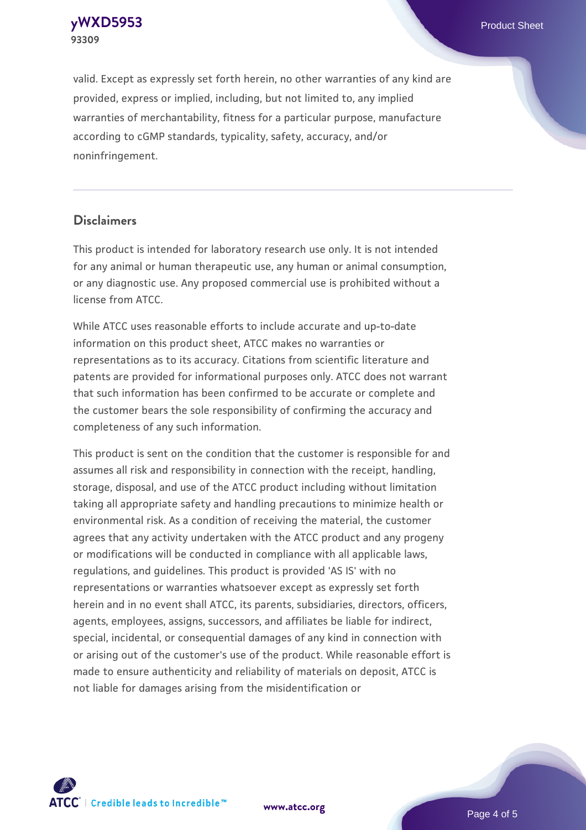**[yWXD5953](https://www.atcc.org/products/93309)** Product Sheet **93309**

valid. Except as expressly set forth herein, no other warranties of any kind are provided, express or implied, including, but not limited to, any implied warranties of merchantability, fitness for a particular purpose, manufacture according to cGMP standards, typicality, safety, accuracy, and/or noninfringement.

#### **Disclaimers**

This product is intended for laboratory research use only. It is not intended for any animal or human therapeutic use, any human or animal consumption, or any diagnostic use. Any proposed commercial use is prohibited without a license from ATCC.

While ATCC uses reasonable efforts to include accurate and up-to-date information on this product sheet, ATCC makes no warranties or representations as to its accuracy. Citations from scientific literature and patents are provided for informational purposes only. ATCC does not warrant that such information has been confirmed to be accurate or complete and the customer bears the sole responsibility of confirming the accuracy and completeness of any such information.

This product is sent on the condition that the customer is responsible for and assumes all risk and responsibility in connection with the receipt, handling, storage, disposal, and use of the ATCC product including without limitation taking all appropriate safety and handling precautions to minimize health or environmental risk. As a condition of receiving the material, the customer agrees that any activity undertaken with the ATCC product and any progeny or modifications will be conducted in compliance with all applicable laws, regulations, and guidelines. This product is provided 'AS IS' with no representations or warranties whatsoever except as expressly set forth herein and in no event shall ATCC, its parents, subsidiaries, directors, officers, agents, employees, assigns, successors, and affiliates be liable for indirect, special, incidental, or consequential damages of any kind in connection with or arising out of the customer's use of the product. While reasonable effort is made to ensure authenticity and reliability of materials on deposit, ATCC is not liable for damages arising from the misidentification or



**[www.atcc.org](http://www.atcc.org)**

Page 4 of 5